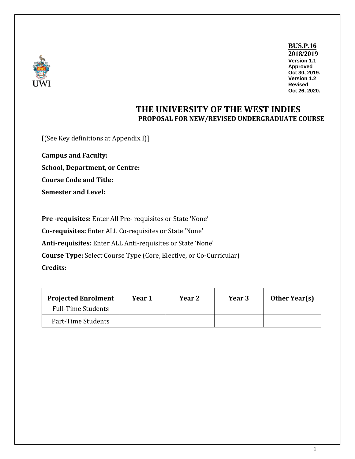

**BUS.P.16 2018/2019 Version 1.1 Approved Oct 30, 2019. Version 1.2 Revised Oct 26, 2020.**

## **THE UNIVERSITY OF THE WEST INDIES PROPOSAL FOR NEW/REVISED UNDERGRADUATE COURSE**

[(See Key definitions at Appendix I)]

**Campus and Faculty: School, Department, or Centre: Course Code and Title: Semester and Level:**

**Pre -requisites:** Enter All Pre- requisites or State 'None' **Co-requisites:** Enter ALL Co-requisites or State 'None' **Anti-requisites:** Enter ALL Anti-requisites or State 'None' **Course Type:** Select Course Type (Core, Elective, or Co-Curricular) **Credits:**

| <b>Projected Enrolment</b> | Year 1 | Year 2 | <b>Year 3</b> | <b>Other Year(s)</b> |
|----------------------------|--------|--------|---------------|----------------------|
| <b>Full-Time Students</b>  |        |        |               |                      |
| Part-Time Students         |        |        |               |                      |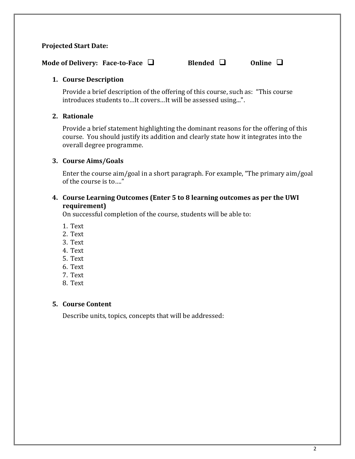#### **Projected Start Date:**

**Mode of Delivery: Face-to-Face □** Blended □ Online □

#### **1. Course Description**

Provide a brief description of the offering of this course, such as: "This course introduces students to…It covers…It will be assessed using...".

#### **2. Rationale**

Provide a brief statement highlighting the dominant reasons for the offering of this course. You should justify its addition and clearly state how it integrates into the overall degree programme.

#### **3. Course Aims/Goals**

Enter the course aim/goal in a short paragraph. For example, "The primary aim/goal of the course is to…."

#### **4. Course Learning Outcomes (Enter 5 to 8 learning outcomes as per the UWI requirement)**

On successful completion of the course, students will be able to:

- 1. Text
- 2. Text
- 3. Text
- 4. Text
- 5. Text
- 6. Text
- 7. Text
- 8. Text

#### **5. Course Content**

Describe units, topics, concepts that will be addressed: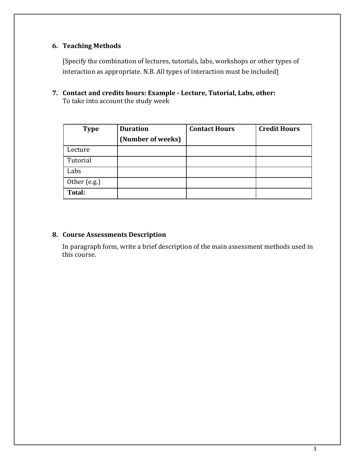### **6. Teaching Methods**

[Specify the combination of lectures, tutorials, labs, workshops or other types of interaction as appropriate. N.B. All types of interaction must be included]

**7. Contact and credits hours: Example - Lecture, Tutorial, Labs, other:** To take into account the study week

| <b>Type</b>   | <b>Duration</b><br>(Number of weeks) | <b>Contact Hours</b> | <b>Credit Hours</b> |
|---------------|--------------------------------------|----------------------|---------------------|
| Lecture       |                                      |                      |                     |
| Tutorial      |                                      |                      |                     |
| Labs          |                                      |                      |                     |
| Other (e.g.)  |                                      |                      |                     |
| <b>Total:</b> |                                      |                      |                     |

#### **8. Course Assessments Description**

In paragraph form, write a brief description of the main assessment methods used in this course.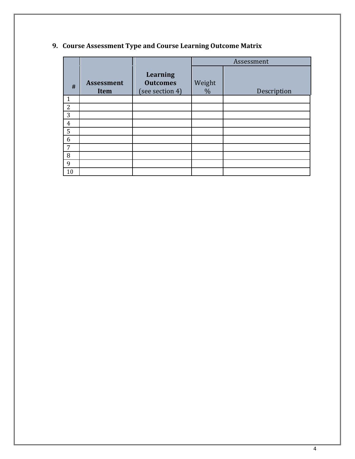|                |                           |                                                       | Assessment     |             |
|----------------|---------------------------|-------------------------------------------------------|----------------|-------------|
| #              | <b>Assessment</b><br>Item | <b>Learning</b><br><b>Outcomes</b><br>(see section 4) | Weight<br>$\%$ | Description |
| 1              |                           |                                                       |                |             |
| $\overline{2}$ |                           |                                                       |                |             |
| 3              |                           |                                                       |                |             |
| $\overline{4}$ |                           |                                                       |                |             |
| 5              |                           |                                                       |                |             |
| 6              |                           |                                                       |                |             |
| 7              |                           |                                                       |                |             |
| 8              |                           |                                                       |                |             |
| 9              |                           |                                                       |                |             |
| 10             |                           |                                                       |                |             |

# **9. Course Assessment Type and Course Learning Outcome Matrix**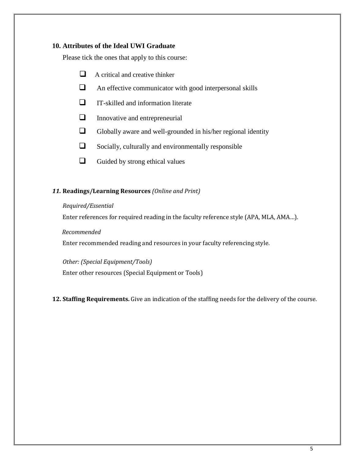#### **10. Attributes of the Ideal UWI Graduate**

Please tick the ones that apply to this course:

- $\Box$  A critical and creative thinker
- An effective communicator with good interpersonal skills
- $\Box$  IT-skilled and information literate
- $\Box$  Innovative and entrepreneurial
- $\Box$  Globally aware and well-grounded in his/her regional identity
- $\Box$  Socially, culturally and environmentally responsible
- $\Box$  Guided by strong ethical values

#### *11.* **Readings/Learning Resources** *(Online and Print)*

#### *Required/Essential*

Enter references for required reading in the faculty reference style (APA, MLA, AMA…).

#### *Recommended*

Enter recommended reading and resources in your faculty referencing style.

*Other: (Special Equipment/Tools)* Enter other resources (Special Equipment or Tools)

**12. Staffing Requirements.** Give an indication of the staffing needs for the delivery of the course.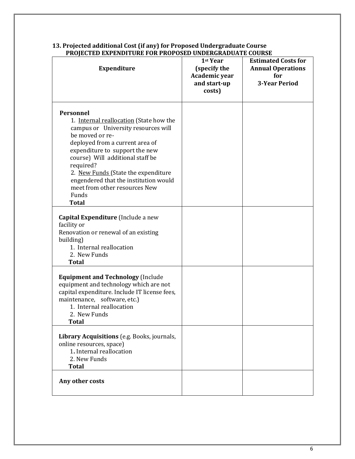| I ROJECTED EAI ENDITURE FUR FROI UJED UNDERURADUATE COURJE<br><b>Expenditure</b>                                                                                                                                                                                                                                                                                               | 1st Year<br>(specify the<br>Academic year<br>and start-up<br>costs) | <b>Estimated Costs for</b><br><b>Annual Operations</b><br>for<br><b>3-Year Period</b> |
|--------------------------------------------------------------------------------------------------------------------------------------------------------------------------------------------------------------------------------------------------------------------------------------------------------------------------------------------------------------------------------|---------------------------------------------------------------------|---------------------------------------------------------------------------------------|
| Personnel<br>1. Internal reallocation (State how the<br>campus or University resources will<br>be moved or re-<br>deployed from a current area of<br>expenditure to support the new<br>course) Will additional staff be<br>required?<br>2. New Funds (State the expenditure<br>engendered that the institution would<br>meet from other resources New<br>Funds<br><b>Total</b> |                                                                     |                                                                                       |
| Capital Expenditure (Include a new<br>facility or<br>Renovation or renewal of an existing<br>building)<br>1. Internal reallocation<br>2. New Funds<br><b>Total</b>                                                                                                                                                                                                             |                                                                     |                                                                                       |
| <b>Equipment and Technology (Include</b><br>equipment and technology which are not<br>capital expenditure. Include IT license fees,<br>maintenance, software, etc.)<br>1. Internal reallocation<br>2. New Funds<br><b>Total</b>                                                                                                                                                |                                                                     |                                                                                       |
| Library Acquisitions (e.g. Books, journals,<br>online resources, space)<br>1. Internal reallocation<br>2. New Funds<br><b>Total</b>                                                                                                                                                                                                                                            |                                                                     |                                                                                       |
| Any other costs                                                                                                                                                                                                                                                                                                                                                                |                                                                     |                                                                                       |

#### **13. Projected additional Cost (if any) for Proposed Undergraduate Course PROJECTED EXPENDITURE FOR PROPOSED UNDERGRADUATE COURSE**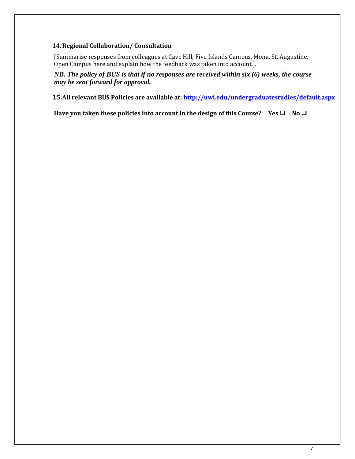#### **14. Regional Collaboration/ Consultation**

[Summarise responses from colleagues at Cave Hill, Five Islands Campus, Mona, St. Augustine, Open Campus here and explain how the feedback was taken into account.].

*NB. The policy of BUS is that if no responses are received within six (6) weeks, the course may be sent forward for approval.*

**15.All relevant BUS Policies are available at: <http://uwi.edu/undergraduatestudies/default.aspx>**

 **Have you taken these policies into account in the design of this Course?** Yes  $\Box$  No $\Box$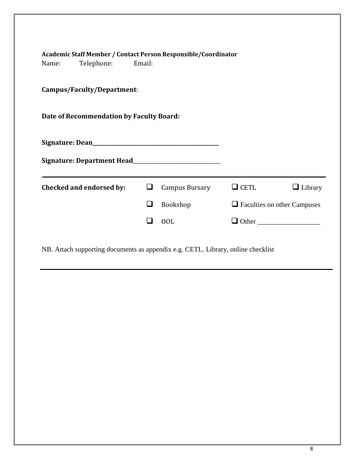| Academic Staff Member / Contact Person Responsible/Coordinator<br>Telephone: Email:<br>Name: |                          |   |                       |             |                                    |
|----------------------------------------------------------------------------------------------|--------------------------|---|-----------------------|-------------|------------------------------------|
| Campus/Faculty/Department:                                                                   |                          |   |                       |             |                                    |
| Date of Recommendation by Faculty Board:                                                     |                          |   |                       |             |                                    |
|                                                                                              |                          |   |                       |             |                                    |
|                                                                                              |                          |   |                       |             |                                    |
|                                                                                              | Checked and endorsed by: | ⊔ | <b>Campus Bursary</b> | $\Box$ CETL | $\Box$ Library                     |
|                                                                                              |                          | ப | Bookshop              |             | $\Box$ Faculties on other Campuses |
|                                                                                              |                          |   | 00L                   |             |                                    |
|                                                                                              |                          |   |                       |             |                                    |

NB. Attach supporting documents as appendix e.g. CETL. Library, online checklist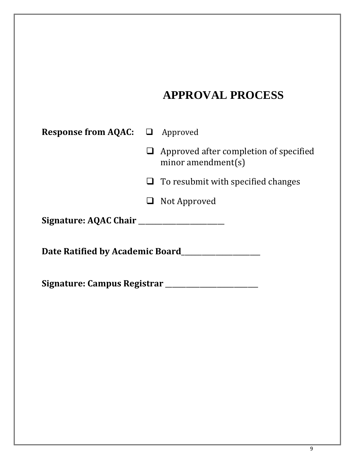# **APPROVAL PROCESS**

| <b>Response from AQAC:</b> $\Box$ Approved |  |                                                                        |  |  |
|--------------------------------------------|--|------------------------------------------------------------------------|--|--|
|                                            |  | $\Box$ Approved after completion of specified<br>minor amendment $(s)$ |  |  |
|                                            |  | $\Box$ To resubmit with specified changes                              |  |  |
|                                            |  | Not Approved                                                           |  |  |
| Signature: AQAC Chair                      |  |                                                                        |  |  |
| Date Ratified by Academic Board            |  |                                                                        |  |  |
| Signature: Campus Registrar                |  |                                                                        |  |  |